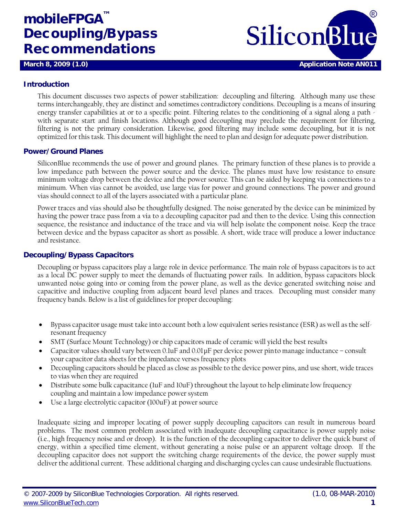# **mobileFPGA™** Decoupling/Bypass Recommendations



#### **Introduction**

This document discusses two aspects of power stabilization: decoupling and filtering. Although many use these terms interchangeably, they are distinct and sometimes contradictory conditions. Decoupling is a means of insuring energy transfer capabilities at or to a specific point. Filtering relates to the conditioning of a signal along a path with separate start and finish locations. Although good decoupling may preclude the requirement for filtering, filtering is not the primary consideration. Likewise, good filtering may include some decoupling, but it is not optimized for this task. This document will highlight the need to plan and design for adequate power distribution.

#### **Power/Ground Planes**

SiliconBlue recommends the use of power and ground planes. The primary function of these planes is to provide a low impedance path between the power source and the device. The planes must have low resistance to ensure minimum voltage drop between the device and the power source. This can be aided by keeping via connections to a minimum. When vias cannot be avoided, use large vias for power and ground connections. The power and ground vias should connect to all of the layers associated with a particular plane.

Power traces and vias should also be thoughtfully designed. The noise generated by the device can be minimized by having the power trace pass from a via to a decoupling capacitor pad and then to the device. Using this connection sequence, the resistance and inductance of the trace and via will help isolate the component noise. Keep the trace between device and the bypass capacitor as short as possible. A short, wide trace will produce a lower inductance and resistance.

#### **Decoupling/Bypass Capacitors**

Decoupling or bypass capacitors play a large role in device performance. The main role of bypass capacitors is to act as a local DC power supply to meet the demands of fluctuating power rails. In addition, bypass capacitors block unwanted noise going into or coming from the power plane, as well as the device generated switching noise and capacitive and inductive coupling from adjacent board level planes and traces. Decoupling must consider many frequency bands. Below is a list of guidelines for proper decoupling:

- Bypass capacitor usage must take into account both a low equivalent series resistance (ESR) as well as the selfresonant frequency
- SMT (Surface Mount Technology) or chip capacitors made of ceramic will yield the best results
- Capacitor values should vary between 0.1uF and 0.01μF per device power pinto manage inductance consult your capacitor data sheets for the impedance verses frequency plots
- Decoupling capacitors should be placed as close as possible to the device power pins, and use short, wide traces to vias when they are required
- Distribute some bulk capacitance (luF and l0uF) throughout the layout to help eliminate low frequency coupling and maintain a low impedance power system
- Use a large electrolytic capacitor (100uF) at power source

Inadequate sizing and improper locating of power supply decoupling capacitors can result in numerous board problems. The most common problem associated with inadequate decoupling capacitance is power supply noise (i.e., high frequency noise and or droop). It is the function of the decoupling capacitor to deliver the quick burst of energy, within a specified time element, without generating a noise pulse or an apparent voltage droop. If the decoupling capacitor does not support the switching charge requirements of the device, the power supply must deliver the additional current. These additional charging and discharging cycles can cause undesirable fluctuations.